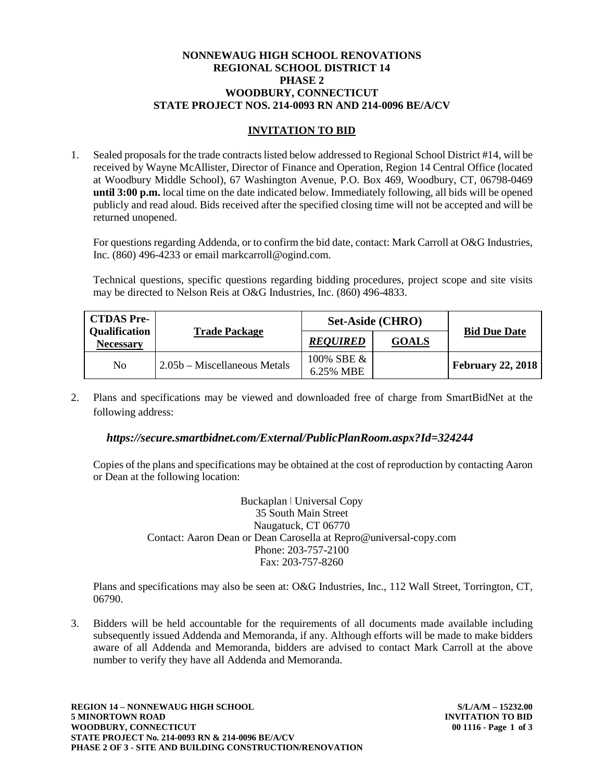## **NONNEWAUG HIGH SCHOOL RENOVATIONS REGIONAL SCHOOL DISTRICT 14 PHASE 2 WOODBURY, CONNECTICUT STATE PROJECT NOS. 214-0093 RN AND 214-0096 BE/A/CV**

## **INVITATION TO BID**

1. Sealed proposals for the trade contracts listed below addressed to Regional School District #14, will be received by Wayne McAllister, Director of Finance and Operation, Region 14 Central Office (located at Woodbury Middle School), 67 Washington Avenue, P.O. Box 469, Woodbury, CT, 06798-0469 **until 3:00 p.m.** local time on the date indicated below. Immediately following, all bids will be opened publicly and read aloud. Bids received after the specified closing time will not be accepted and will be returned unopened.

For questions regarding Addenda, or to confirm the bid date, contact: Mark Carroll at O&G Industries, Inc. (860) 496-4233 or email markcarroll@ogind.com.

Technical questions, specific questions regarding bidding procedures, project scope and site visits may be directed to Nelson Reis at O&G Industries, Inc. (860) 496-4833.

| <b>CTDAS Pre-</b><br><b>Qualification</b><br><b>Necessary</b> | <b>Trade Package</b>         | <b>Set-Aside (CHRO)</b> |              | <b>Bid Due Date</b>      |
|---------------------------------------------------------------|------------------------------|-------------------------|--------------|--------------------------|
|                                                               |                              | <b>REQUIRED</b>         | <b>GOALS</b> |                          |
| N <sub>0</sub>                                                | 2.05b – Miscellaneous Metals | 100% SBE &<br>6.25% MBE |              | <b>February 22, 2018</b> |

2. Plans and specifications may be viewed and downloaded free of charge from SmartBidNet at the following address:

## *https://secure.smartbidnet.com/External/PublicPlanRoom.aspx?Id=324244*

Copies of the plans and specifications may be obtained at the cost of reproduction by contacting Aaron or Dean at the following location:

> Buckaplan | Universal Copy 35 South Main Street Naugatuck, CT 06770 Contact: Aaron Dean or Dean Carosella at Repro@universal-copy.com Phone: 203-757-2100 Fax: 203-757-8260

Plans and specifications may also be seen at: O&G Industries, Inc., 112 Wall Street, Torrington, CT, 06790.

3. Bidders will be held accountable for the requirements of all documents made available including subsequently issued Addenda and Memoranda, if any. Although efforts will be made to make bidders aware of all Addenda and Memoranda, bidders are advised to contact Mark Carroll at the above number to verify they have all Addenda and Memoranda.

**REGION 14 – NONNEWAUG HIGH SCHOOL S/L/A/M – 15232.00 5 MINORTOWN ROAD INVITATION TO BID WOODBURY, CONNECTICUT 00 1116 - Page 1 of 3 STATE PROJECT No. 214-0093 RN & 214-0096 BE/A/CV PHASE 2 OF 3 - SITE AND BUILDING CONSTRUCTION/RENOVATION**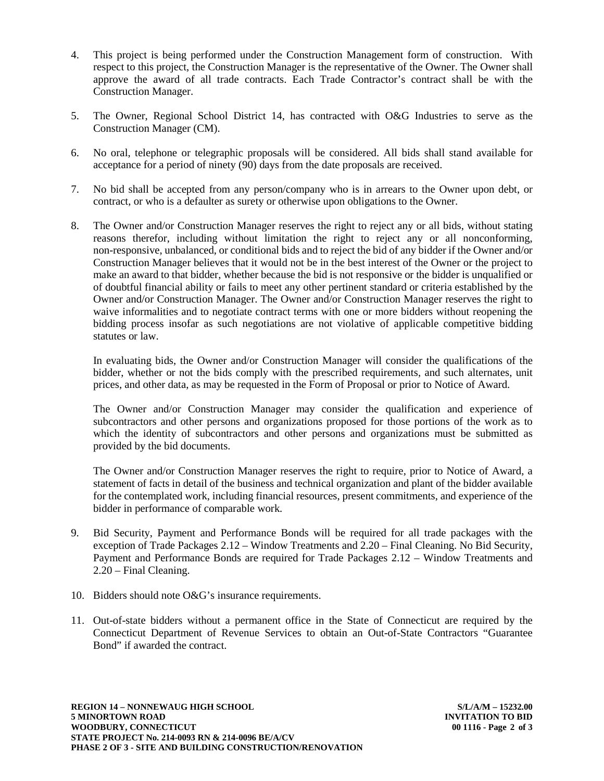- 4. This project is being performed under the Construction Management form of construction. With respect to this project, the Construction Manager is the representative of the Owner. The Owner shall approve the award of all trade contracts. Each Trade Contractor's contract shall be with the Construction Manager.
- 5. The Owner, Regional School District 14, has contracted with O&G Industries to serve as the Construction Manager (CM).
- 6. No oral, telephone or telegraphic proposals will be considered. All bids shall stand available for acceptance for a period of ninety (90) days from the date proposals are received.
- 7. No bid shall be accepted from any person/company who is in arrears to the Owner upon debt, or contract, or who is a defaulter as surety or otherwise upon obligations to the Owner.
- 8. The Owner and/or Construction Manager reserves the right to reject any or all bids, without stating reasons therefor, including without limitation the right to reject any or all nonconforming, non-responsive, unbalanced, or conditional bids and to reject the bid of any bidder if the Owner and/or Construction Manager believes that it would not be in the best interest of the Owner or the project to make an award to that bidder, whether because the bid is not responsive or the bidder is unqualified or of doubtful financial ability or fails to meet any other pertinent standard or criteria established by the Owner and/or Construction Manager. The Owner and/or Construction Manager reserves the right to waive informalities and to negotiate contract terms with one or more bidders without reopening the bidding process insofar as such negotiations are not violative of applicable competitive bidding statutes or law.

In evaluating bids, the Owner and/or Construction Manager will consider the qualifications of the bidder, whether or not the bids comply with the prescribed requirements, and such alternates, unit prices, and other data, as may be requested in the Form of Proposal or prior to Notice of Award.

The Owner and/or Construction Manager may consider the qualification and experience of subcontractors and other persons and organizations proposed for those portions of the work as to which the identity of subcontractors and other persons and organizations must be submitted as provided by the bid documents.

The Owner and/or Construction Manager reserves the right to require, prior to Notice of Award, a statement of facts in detail of the business and technical organization and plant of the bidder available for the contemplated work, including financial resources, present commitments, and experience of the bidder in performance of comparable work.

- 9. Bid Security, Payment and Performance Bonds will be required for all trade packages with the exception of Trade Packages 2.12 – Window Treatments and 2.20 – Final Cleaning. No Bid Security, Payment and Performance Bonds are required for Trade Packages 2.12 – Window Treatments and 2.20 – Final Cleaning.
- 10. Bidders should note O&G's insurance requirements.
- 11. Out-of-state bidders without a permanent office in the State of Connecticut are required by the Connecticut Department of Revenue Services to obtain an Out-of-State Contractors "Guarantee Bond" if awarded the contract.